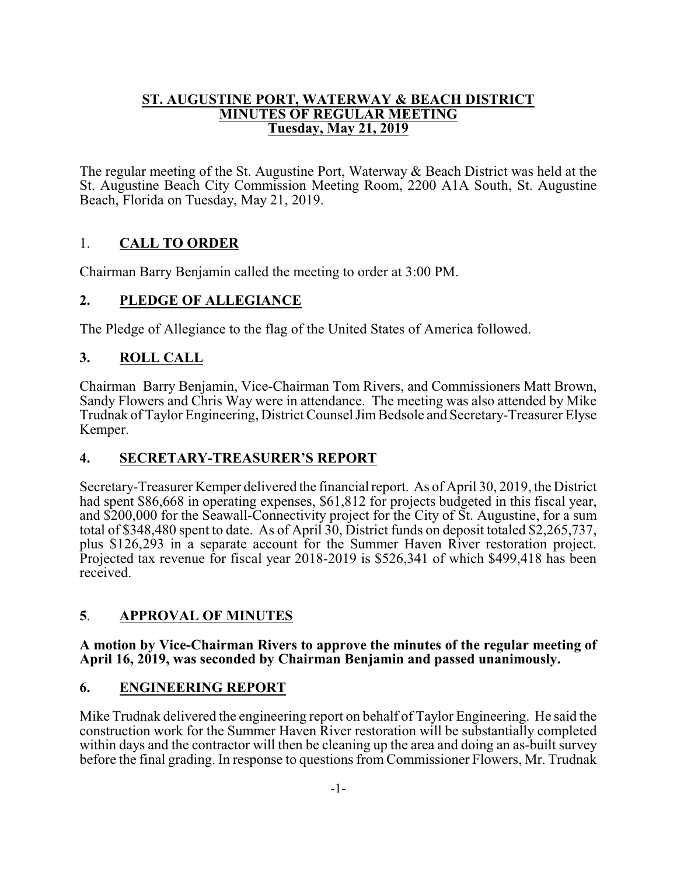#### **ST. AUGUSTINE PORT, WATERWAY & BEACH DISTRICT MINUTES OF REGULAR MEETING Tuesday, May 21, 2019**

The regular meeting of the St. Augustine Port, Waterway & Beach District was held at the St. Augustine Beach City Commission Meeting Room, 2200 A1A South, St. Augustine Beach, Florida on Tuesday, May 21, 2019.

# 1. **CALL TO ORDER**

Chairman Barry Benjamin called the meeting to order at 3:00 PM.

## **2. PLEDGE OF ALLEGIANCE**

The Pledge of Allegiance to the flag of the United States of America followed.

## **3. ROLL CALL**

Chairman Barry Benjamin, Vice-Chairman Tom Rivers, and Commissioners Matt Brown, Sandy Flowers and Chris Way were in attendance. The meeting was also attended by Mike Trudnak of Taylor Engineering, District Counsel JimBedsole and Secretary-Treasurer Elyse Kemper.

#### **4. SECRETARY-TREASURER'S REPORT**

Secretary-Treasurer Kemper delivered the financial report. As of April 30, 2019, the District had spent \$86,668 in operating expenses, \$61,812 for projects budgeted in this fiscal year, and \$200,000 for the Seawall-Connectivity project for the City of St. Augustine, for a sum total of \$348,480 spent to date. As of April 30, District funds on deposit totaled \$2,265,737, plus \$126,293 in a separate account for the Summer Haven River restoration project. Projected tax revenue for fiscal year 2018-2019 is \$526,341 of which \$499,418 has been received.

#### **5**. **APPROVAL OF MINUTES**

#### **A motion by Vice-Chairman Rivers to approve the minutes of the regular meeting of April 16, 2019, was seconded by Chairman Benjamin and passed unanimously.**

#### **6. ENGINEERING REPORT**

Mike Trudnak delivered the engineering report on behalf of Taylor Engineering. He said the construction work for the Summer Haven River restoration will be substantially completed within days and the contractor will then be cleaning up the area and doing an as-built survey before the final grading. In response to questions from Commissioner Flowers, Mr. Trudnak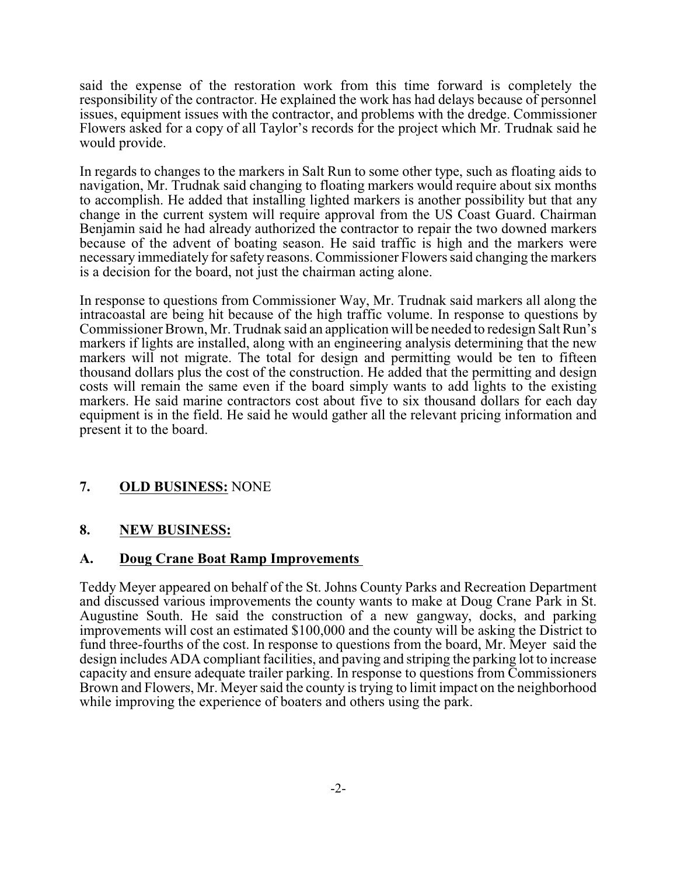said the expense of the restoration work from this time forward is completely the responsibility of the contractor. He explained the work has had delays because of personnel issues, equipment issues with the contractor, and problems with the dredge. Commissioner Flowers asked for a copy of all Taylor's records for the project which Mr. Trudnak said he would provide.

In regards to changes to the markers in Salt Run to some other type, such as floating aids to navigation, Mr. Trudnak said changing to floating markers would require about six months to accomplish. He added that installing lighted markers is another possibility but that any change in the current system will require approval from the US Coast Guard. Chairman Benjamin said he had already authorized the contractor to repair the two downed markers because of the advent of boating season. He said traffic is high and the markers were necessary immediately for safety reasons. Commissioner Flowers said changing the markers is a decision for the board, not just the chairman acting alone.

In response to questions from Commissioner Way, Mr. Trudnak said markers all along the intracoastal are being hit because of the high traffic volume. In response to questions by Commissioner Brown, Mr. Trudnak said an application will be needed to redesign Salt Run's markers if lights are installed, along with an engineering analysis determining that the new markers will not migrate. The total for design and permitting would be ten to fifteen thousand dollars plus the cost of the construction. He added that the permitting and design costs will remain the same even if the board simply wants to add lights to the existing markers. He said marine contractors cost about five to six thousand dollars for each day equipment is in the field. He said he would gather all the relevant pricing information and present it to the board.

#### **7. OLD BUSINESS:** NONE

#### **8. NEW BUSINESS:**

#### **A. Doug Crane Boat Ramp Improvements**

Teddy Meyer appeared on behalf of the St. Johns County Parks and Recreation Department and discussed various improvements the county wants to make at Doug Crane Park in St. Augustine South. He said the construction of a new gangway, docks, and parking improvements will cost an estimated \$100,000 and the county will be asking the District to fund three-fourths of the cost. In response to questions from the board, Mr. Meyer said the design includes ADA compliant facilities, and paving and striping the parking lot to increase capacity and ensure adequate trailer parking. In response to questions from Commissioners Brown and Flowers, Mr. Meyer said the county is trying to limit impact on the neighborhood while improving the experience of boaters and others using the park.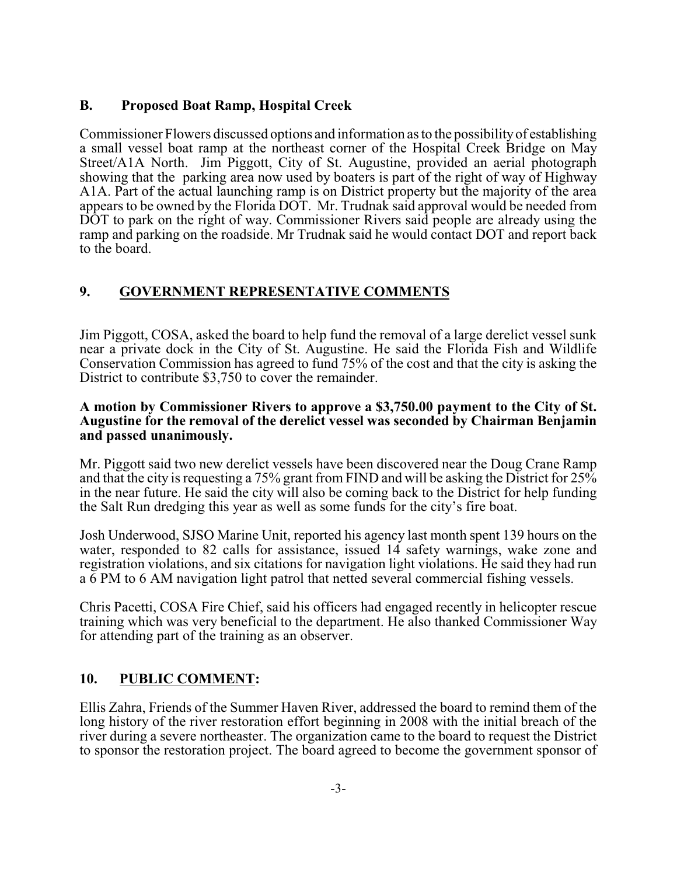#### **B. Proposed Boat Ramp, Hospital Creek**

Commissioner Flowers discussed options and information as to the possibilityof establishing a small vessel boat ramp at the northeast corner of the Hospital Creek Bridge on May Street/A1A North. Jim Piggott, City of St. Augustine, provided an aerial photograph showing that the parking area now used by boaters is part of the right of way of Highway A1A. Part of the actual launching ramp is on District property but the majority of the area appears to be owned by the Florida DOT. Mr. Trudnak said approval would be needed from DOT to park on the right of way. Commissioner Rivers said people are already using the ramp and parking on the roadside. Mr Trudnak said he would contact DOT and report back to the board.

# **9. GOVERNMENT REPRESENTATIVE COMMENTS**

Jim Piggott, COSA, asked the board to help fund the removal of a large derelict vessel sunk near a private dock in the City of St. Augustine. He said the Florida Fish and Wildlife Conservation Commission has agreed to fund 75% of the cost and that the city is asking the District to contribute \$3,750 to cover the remainder.

#### **A motion by Commissioner Rivers to approve a \$3,750.00 payment to the City of St. Augustine for the removal of the derelict vessel was seconded by Chairman Benjamin and passed unanimously.**

Mr. Piggott said two new derelict vessels have been discovered near the Doug Crane Ramp and that the city is requesting a 75% grant from FIND and will be asking the District for 25% in the near future. He said the city will also be coming back to the District for help funding the Salt Run dredging this year as well as some funds for the city's fire boat.

Josh Underwood, SJSO Marine Unit, reported his agency last month spent 139 hours on the water, responded to 82 calls for assistance, issued 14 safety warnings, wake zone and registration violations, and six citations for navigation light violations. He said they had run a 6 PM to 6 AM navigation light patrol that netted several commercial fishing vessels.

Chris Pacetti, COSA Fire Chief, said his officers had engaged recently in helicopter rescue training which was very beneficial to the department. He also thanked Commissioner Way for attending part of the training as an observer.

# **10. PUBLIC COMMENT:**

Ellis Zahra, Friends of the Summer Haven River, addressed the board to remind them of the long history of the river restoration effort beginning in 2008 with the initial breach of the river during a severe northeaster. The organization came to the board to request the District to sponsor the restoration project. The board agreed to become the government sponsor of